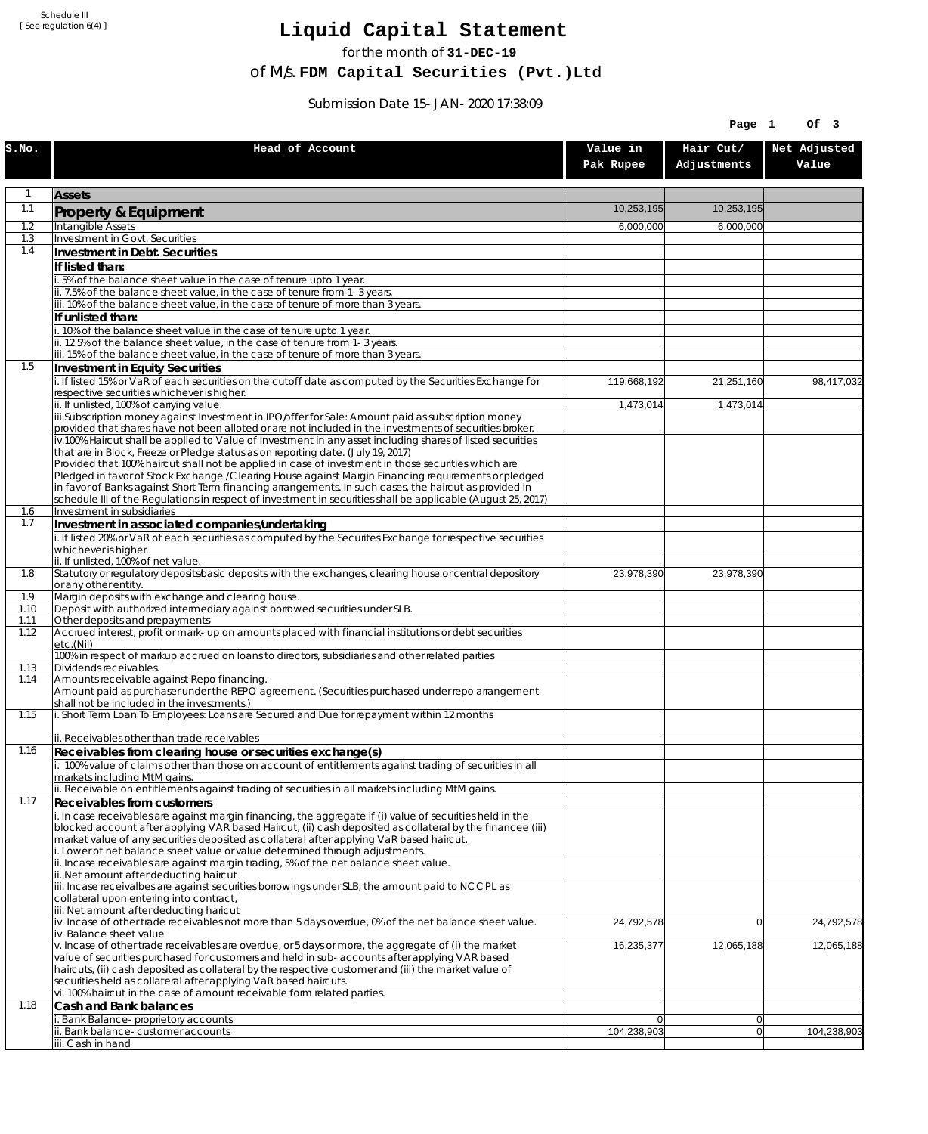Schedule III [ See regulation 6(4) ]

## **Liquid Capital Statement**

for the month of **31-DEC-19**

of M/s. **FDM Capital Securities (Pvt.)Ltd**

Submission Date 15-JAN-2020 17:38:09

| Hair Cut/<br>Net Adjusted<br>Head of Account<br>Value in<br>Adjustments<br>Value<br>Pak Rupee<br>1<br><b>Assets</b><br>1.1<br>10,253,195<br>10,253,195<br>Property & Equipment<br>1.2<br>Intangible Assets<br>6,000,000<br>6,000,000<br>1.3<br>Investment in Govt. Securities<br>1.4<br>Investment in Debt. Securities<br>If listed than:<br>i. 5% of the balance sheet value in the case of tenure upto 1 year.<br>ii. 7.5% of the balance sheet value, in the case of tenure from 1-3 years.<br>iii. 10% of the balance sheet value, in the case of tenure of more than 3 years.<br>If unlisted than:<br>i. 10% of the balance sheet value in the case of tenure upto 1 year.<br>ii. 12.5% of the balance sheet value, in the case of tenure from 1-3 years.<br>iii. 15% of the balance sheet value, in the case of tenure of more than 3 years.<br>1.5<br>Investment in Equity Securities<br>i. If listed 15% or VaR of each securities on the cutoff date as computed by the Securities Exchange for<br>98,417,032<br>119,668,192<br>21,251,160<br>respective securities whichever is higher.<br>ii. If unlisted, 100% of carrying value.<br>1,473,014<br>1,473,014<br>iii.Subscription money against Investment in IPO/offer for Sale: Amount paid as subscription money<br>provided that shares have not been alloted or are not included in the investments of securities broker.<br>iv.100% Haircut shall be applied to Value of Investment in any asset including shares of listed securities<br>that are in Block, Freeze or Pledge status as on reporting date. (July 19, 2017)<br>Provided that 100% haircut shall not be applied in case of investment in those securities which are<br>Pledged in favor of Stock Exchange / Clearing House against Margin Financing requirements or pledged<br>in favor of Banks against Short Term financing arrangements. In such cases, the haircut as provided in<br>schedule III of the Regulations in respect of investment in securities shall be applicable (August 25, 2017)<br>Investment in subsidiaries<br>1.6<br>1.7<br>Investment in associated companies/undertaking<br>i. If listed 20% or VaR of each securities as computed by the Securites Exchange for respective securities<br>whichever is higher.<br>ii. If unlisted, 100% of net value.<br>Statutory or regulatory deposits/basic deposits with the exchanges, clearing house or central depository<br>1.8<br>23,978,390<br>23,978,390<br>or any other entity.<br>Margin deposits with exchange and clearing house.<br>1.9<br>Deposit with authorized intermediary against borrowed securities under SLB.<br>1.10<br>Other deposits and prepayments<br>1.11<br>Accrued interest, profit or mark-up on amounts placed with financial institutions or debt securities<br>1.12<br>etc.(Nil)<br>100% in respect of markup accrued on loans to directors, subsidiaries and other related parties<br>Dividends receivables.<br>1.13<br>Amounts receivable against Repo financing.<br>1.14<br>Amount paid as purchaser under the REPO agreement. (Securities purchased under repo arrangement<br>shall not be included in the investments.)<br>i. Short Term Loan To Employees: Loans are Secured and Due for repayment within 12 months<br>1.15<br>ii. Receivables other than trade receivables<br>1.16<br>Receivables from clearing house or securities exchange(s)<br>i. 100% value of claims other than those on account of entitlements against trading of securities in all<br>markets including MtM gains.<br>ii. Receivable on entitlements against trading of securities in all markets including MtM gains.<br>1.17<br><b>Receivables from customers</b><br>i. In case receivables are against margin financing, the aggregate if (i) value of securities held in the<br>blocked account after applying VAR based Haircut, (ii) cash deposited as collateral by the financee (iii)<br>market value of any securities deposited as collateral after applying VaR based haircut.<br>i. Lower of net balance sheet value or value determined through adjustments.<br>ii. Incase receivables are against margin trading, 5% of the net balance sheet value.<br>ii. Net amount after deducting haircut<br>iii. Incase receivalbes are against securities borrowings under SLB, the amount paid to NCCPL as<br>collateral upon entering into contract,<br>iii. Net amount after deducting haricut<br>$iv.$ Incase of other trade receivables not more than 5 days overdue, 0% of the net balance sheet value.<br>24,792,578<br>24,792,578<br>$\overline{0}$<br>iv. Balance sheet value<br>v. Incase of other trade receivables are overdue, or 5 days or more, the aggregate of (i) the market<br>16,235,377<br>12,065,188<br>12,065,188<br>value of securities purchased for customers and held in sub-accounts after applying VAR based<br>haircuts, (ii) cash deposited as collateral by the respective customer and (iii) the market value of<br>securities held as collateral after applying VaR based haircuts.<br>vi. 100% haircut in the case of amount receivable form related parties.<br>1.18<br>Cash and Bank balances<br>i. Bank Balance-proprietory accounts<br> 0 <br>$\overline{0}$<br>104,238,903<br>ii. Bank balance-customer accounts<br> 0 <br>104,238,903<br>iii. Cash in hand |       |  | Page 1 | Of 3 |
|-------------------------------------------------------------------------------------------------------------------------------------------------------------------------------------------------------------------------------------------------------------------------------------------------------------------------------------------------------------------------------------------------------------------------------------------------------------------------------------------------------------------------------------------------------------------------------------------------------------------------------------------------------------------------------------------------------------------------------------------------------------------------------------------------------------------------------------------------------------------------------------------------------------------------------------------------------------------------------------------------------------------------------------------------------------------------------------------------------------------------------------------------------------------------------------------------------------------------------------------------------------------------------------------------------------------------------------------------------------------------------------------------------------------------------------------------------------------------------------------------------------------------------------------------------------------------------------------------------------------------------------------------------------------------------------------------------------------------------------------------------------------------------------------------------------------------------------------------------------------------------------------------------------------------------------------------------------------------------------------------------------------------------------------------------------------------------------------------------------------------------------------------------------------------------------------------------------------------------------------------------------------------------------------------------------------------------------------------------------------------------------------------------------------------------------------------------------------------------------------------------------------------------------------------------------------------------------------------------------------------------------------------------------------------------------------------------------------------------------------------------------------------------------------------------------------------------------------------------------------------------------------------------------------------------------------------------------------------------------------------------------------------------------------------------------------------------------------------------------------------------------------------------------------------------------------------------------------------------------------------------------------------------------------------------------------------------------------------------------------------------------------------------------------------------------------------------------------------------------------------------------------------------------------------------------------------------------------------------------------------------------------------------------------------------------------------------------------------------------------------------------------------------------------------------------------------------------------------------------------------------------------------------------------------------------------------------------------------------------------------------------------------------------------------------------------------------------------------------------------------------------------------------------------------------------------------------------------------------------------------------------------------------------------------------------------------------------------------------------------------------------------------------------------------------------------------------------------------------------------------------------------------------------------------------------------------------------------------------------------------------------------------------------------------------------------------------------------------------------------------------------------------------------------------------------------------------------------------------------------------------------------------------------------------------------------------------------------------------------------------------------------------------------------------------------------------------------------------------------------------------------------------------------------------------------------------------------------------------------------------------------------------------------------------------------------------|-------|--|--------|------|
|                                                                                                                                                                                                                                                                                                                                                                                                                                                                                                                                                                                                                                                                                                                                                                                                                                                                                                                                                                                                                                                                                                                                                                                                                                                                                                                                                                                                                                                                                                                                                                                                                                                                                                                                                                                                                                                                                                                                                                                                                                                                                                                                                                                                                                                                                                                                                                                                                                                                                                                                                                                                                                                                                                                                                                                                                                                                                                                                                                                                                                                                                                                                                                                                                                                                                                                                                                                                                                                                                                                                                                                                                                                                                                                                                                                                                                                                                                                                                                                                                                                                                                                                                                                                                                                                                                                                                                                                                                                                                                                                                                                                                                                                                                                                                                                                                                                                                                                                                                                                                                                                                                                                                                                                                                                                                                                         | S.NO. |  |        |      |
|                                                                                                                                                                                                                                                                                                                                                                                                                                                                                                                                                                                                                                                                                                                                                                                                                                                                                                                                                                                                                                                                                                                                                                                                                                                                                                                                                                                                                                                                                                                                                                                                                                                                                                                                                                                                                                                                                                                                                                                                                                                                                                                                                                                                                                                                                                                                                                                                                                                                                                                                                                                                                                                                                                                                                                                                                                                                                                                                                                                                                                                                                                                                                                                                                                                                                                                                                                                                                                                                                                                                                                                                                                                                                                                                                                                                                                                                                                                                                                                                                                                                                                                                                                                                                                                                                                                                                                                                                                                                                                                                                                                                                                                                                                                                                                                                                                                                                                                                                                                                                                                                                                                                                                                                                                                                                                                         |       |  |        |      |
|                                                                                                                                                                                                                                                                                                                                                                                                                                                                                                                                                                                                                                                                                                                                                                                                                                                                                                                                                                                                                                                                                                                                                                                                                                                                                                                                                                                                                                                                                                                                                                                                                                                                                                                                                                                                                                                                                                                                                                                                                                                                                                                                                                                                                                                                                                                                                                                                                                                                                                                                                                                                                                                                                                                                                                                                                                                                                                                                                                                                                                                                                                                                                                                                                                                                                                                                                                                                                                                                                                                                                                                                                                                                                                                                                                                                                                                                                                                                                                                                                                                                                                                                                                                                                                                                                                                                                                                                                                                                                                                                                                                                                                                                                                                                                                                                                                                                                                                                                                                                                                                                                                                                                                                                                                                                                                                         |       |  |        |      |
|                                                                                                                                                                                                                                                                                                                                                                                                                                                                                                                                                                                                                                                                                                                                                                                                                                                                                                                                                                                                                                                                                                                                                                                                                                                                                                                                                                                                                                                                                                                                                                                                                                                                                                                                                                                                                                                                                                                                                                                                                                                                                                                                                                                                                                                                                                                                                                                                                                                                                                                                                                                                                                                                                                                                                                                                                                                                                                                                                                                                                                                                                                                                                                                                                                                                                                                                                                                                                                                                                                                                                                                                                                                                                                                                                                                                                                                                                                                                                                                                                                                                                                                                                                                                                                                                                                                                                                                                                                                                                                                                                                                                                                                                                                                                                                                                                                                                                                                                                                                                                                                                                                                                                                                                                                                                                                                         |       |  |        |      |
|                                                                                                                                                                                                                                                                                                                                                                                                                                                                                                                                                                                                                                                                                                                                                                                                                                                                                                                                                                                                                                                                                                                                                                                                                                                                                                                                                                                                                                                                                                                                                                                                                                                                                                                                                                                                                                                                                                                                                                                                                                                                                                                                                                                                                                                                                                                                                                                                                                                                                                                                                                                                                                                                                                                                                                                                                                                                                                                                                                                                                                                                                                                                                                                                                                                                                                                                                                                                                                                                                                                                                                                                                                                                                                                                                                                                                                                                                                                                                                                                                                                                                                                                                                                                                                                                                                                                                                                                                                                                                                                                                                                                                                                                                                                                                                                                                                                                                                                                                                                                                                                                                                                                                                                                                                                                                                                         |       |  |        |      |
|                                                                                                                                                                                                                                                                                                                                                                                                                                                                                                                                                                                                                                                                                                                                                                                                                                                                                                                                                                                                                                                                                                                                                                                                                                                                                                                                                                                                                                                                                                                                                                                                                                                                                                                                                                                                                                                                                                                                                                                                                                                                                                                                                                                                                                                                                                                                                                                                                                                                                                                                                                                                                                                                                                                                                                                                                                                                                                                                                                                                                                                                                                                                                                                                                                                                                                                                                                                                                                                                                                                                                                                                                                                                                                                                                                                                                                                                                                                                                                                                                                                                                                                                                                                                                                                                                                                                                                                                                                                                                                                                                                                                                                                                                                                                                                                                                                                                                                                                                                                                                                                                                                                                                                                                                                                                                                                         |       |  |        |      |
|                                                                                                                                                                                                                                                                                                                                                                                                                                                                                                                                                                                                                                                                                                                                                                                                                                                                                                                                                                                                                                                                                                                                                                                                                                                                                                                                                                                                                                                                                                                                                                                                                                                                                                                                                                                                                                                                                                                                                                                                                                                                                                                                                                                                                                                                                                                                                                                                                                                                                                                                                                                                                                                                                                                                                                                                                                                                                                                                                                                                                                                                                                                                                                                                                                                                                                                                                                                                                                                                                                                                                                                                                                                                                                                                                                                                                                                                                                                                                                                                                                                                                                                                                                                                                                                                                                                                                                                                                                                                                                                                                                                                                                                                                                                                                                                                                                                                                                                                                                                                                                                                                                                                                                                                                                                                                                                         |       |  |        |      |
|                                                                                                                                                                                                                                                                                                                                                                                                                                                                                                                                                                                                                                                                                                                                                                                                                                                                                                                                                                                                                                                                                                                                                                                                                                                                                                                                                                                                                                                                                                                                                                                                                                                                                                                                                                                                                                                                                                                                                                                                                                                                                                                                                                                                                                                                                                                                                                                                                                                                                                                                                                                                                                                                                                                                                                                                                                                                                                                                                                                                                                                                                                                                                                                                                                                                                                                                                                                                                                                                                                                                                                                                                                                                                                                                                                                                                                                                                                                                                                                                                                                                                                                                                                                                                                                                                                                                                                                                                                                                                                                                                                                                                                                                                                                                                                                                                                                                                                                                                                                                                                                                                                                                                                                                                                                                                                                         |       |  |        |      |
|                                                                                                                                                                                                                                                                                                                                                                                                                                                                                                                                                                                                                                                                                                                                                                                                                                                                                                                                                                                                                                                                                                                                                                                                                                                                                                                                                                                                                                                                                                                                                                                                                                                                                                                                                                                                                                                                                                                                                                                                                                                                                                                                                                                                                                                                                                                                                                                                                                                                                                                                                                                                                                                                                                                                                                                                                                                                                                                                                                                                                                                                                                                                                                                                                                                                                                                                                                                                                                                                                                                                                                                                                                                                                                                                                                                                                                                                                                                                                                                                                                                                                                                                                                                                                                                                                                                                                                                                                                                                                                                                                                                                                                                                                                                                                                                                                                                                                                                                                                                                                                                                                                                                                                                                                                                                                                                         |       |  |        |      |
|                                                                                                                                                                                                                                                                                                                                                                                                                                                                                                                                                                                                                                                                                                                                                                                                                                                                                                                                                                                                                                                                                                                                                                                                                                                                                                                                                                                                                                                                                                                                                                                                                                                                                                                                                                                                                                                                                                                                                                                                                                                                                                                                                                                                                                                                                                                                                                                                                                                                                                                                                                                                                                                                                                                                                                                                                                                                                                                                                                                                                                                                                                                                                                                                                                                                                                                                                                                                                                                                                                                                                                                                                                                                                                                                                                                                                                                                                                                                                                                                                                                                                                                                                                                                                                                                                                                                                                                                                                                                                                                                                                                                                                                                                                                                                                                                                                                                                                                                                                                                                                                                                                                                                                                                                                                                                                                         |       |  |        |      |
|                                                                                                                                                                                                                                                                                                                                                                                                                                                                                                                                                                                                                                                                                                                                                                                                                                                                                                                                                                                                                                                                                                                                                                                                                                                                                                                                                                                                                                                                                                                                                                                                                                                                                                                                                                                                                                                                                                                                                                                                                                                                                                                                                                                                                                                                                                                                                                                                                                                                                                                                                                                                                                                                                                                                                                                                                                                                                                                                                                                                                                                                                                                                                                                                                                                                                                                                                                                                                                                                                                                                                                                                                                                                                                                                                                                                                                                                                                                                                                                                                                                                                                                                                                                                                                                                                                                                                                                                                                                                                                                                                                                                                                                                                                                                                                                                                                                                                                                                                                                                                                                                                                                                                                                                                                                                                                                         |       |  |        |      |
|                                                                                                                                                                                                                                                                                                                                                                                                                                                                                                                                                                                                                                                                                                                                                                                                                                                                                                                                                                                                                                                                                                                                                                                                                                                                                                                                                                                                                                                                                                                                                                                                                                                                                                                                                                                                                                                                                                                                                                                                                                                                                                                                                                                                                                                                                                                                                                                                                                                                                                                                                                                                                                                                                                                                                                                                                                                                                                                                                                                                                                                                                                                                                                                                                                                                                                                                                                                                                                                                                                                                                                                                                                                                                                                                                                                                                                                                                                                                                                                                                                                                                                                                                                                                                                                                                                                                                                                                                                                                                                                                                                                                                                                                                                                                                                                                                                                                                                                                                                                                                                                                                                                                                                                                                                                                                                                         |       |  |        |      |
|                                                                                                                                                                                                                                                                                                                                                                                                                                                                                                                                                                                                                                                                                                                                                                                                                                                                                                                                                                                                                                                                                                                                                                                                                                                                                                                                                                                                                                                                                                                                                                                                                                                                                                                                                                                                                                                                                                                                                                                                                                                                                                                                                                                                                                                                                                                                                                                                                                                                                                                                                                                                                                                                                                                                                                                                                                                                                                                                                                                                                                                                                                                                                                                                                                                                                                                                                                                                                                                                                                                                                                                                                                                                                                                                                                                                                                                                                                                                                                                                                                                                                                                                                                                                                                                                                                                                                                                                                                                                                                                                                                                                                                                                                                                                                                                                                                                                                                                                                                                                                                                                                                                                                                                                                                                                                                                         |       |  |        |      |
|                                                                                                                                                                                                                                                                                                                                                                                                                                                                                                                                                                                                                                                                                                                                                                                                                                                                                                                                                                                                                                                                                                                                                                                                                                                                                                                                                                                                                                                                                                                                                                                                                                                                                                                                                                                                                                                                                                                                                                                                                                                                                                                                                                                                                                                                                                                                                                                                                                                                                                                                                                                                                                                                                                                                                                                                                                                                                                                                                                                                                                                                                                                                                                                                                                                                                                                                                                                                                                                                                                                                                                                                                                                                                                                                                                                                                                                                                                                                                                                                                                                                                                                                                                                                                                                                                                                                                                                                                                                                                                                                                                                                                                                                                                                                                                                                                                                                                                                                                                                                                                                                                                                                                                                                                                                                                                                         |       |  |        |      |
|                                                                                                                                                                                                                                                                                                                                                                                                                                                                                                                                                                                                                                                                                                                                                                                                                                                                                                                                                                                                                                                                                                                                                                                                                                                                                                                                                                                                                                                                                                                                                                                                                                                                                                                                                                                                                                                                                                                                                                                                                                                                                                                                                                                                                                                                                                                                                                                                                                                                                                                                                                                                                                                                                                                                                                                                                                                                                                                                                                                                                                                                                                                                                                                                                                                                                                                                                                                                                                                                                                                                                                                                                                                                                                                                                                                                                                                                                                                                                                                                                                                                                                                                                                                                                                                                                                                                                                                                                                                                                                                                                                                                                                                                                                                                                                                                                                                                                                                                                                                                                                                                                                                                                                                                                                                                                                                         |       |  |        |      |
|                                                                                                                                                                                                                                                                                                                                                                                                                                                                                                                                                                                                                                                                                                                                                                                                                                                                                                                                                                                                                                                                                                                                                                                                                                                                                                                                                                                                                                                                                                                                                                                                                                                                                                                                                                                                                                                                                                                                                                                                                                                                                                                                                                                                                                                                                                                                                                                                                                                                                                                                                                                                                                                                                                                                                                                                                                                                                                                                                                                                                                                                                                                                                                                                                                                                                                                                                                                                                                                                                                                                                                                                                                                                                                                                                                                                                                                                                                                                                                                                                                                                                                                                                                                                                                                                                                                                                                                                                                                                                                                                                                                                                                                                                                                                                                                                                                                                                                                                                                                                                                                                                                                                                                                                                                                                                                                         |       |  |        |      |
|                                                                                                                                                                                                                                                                                                                                                                                                                                                                                                                                                                                                                                                                                                                                                                                                                                                                                                                                                                                                                                                                                                                                                                                                                                                                                                                                                                                                                                                                                                                                                                                                                                                                                                                                                                                                                                                                                                                                                                                                                                                                                                                                                                                                                                                                                                                                                                                                                                                                                                                                                                                                                                                                                                                                                                                                                                                                                                                                                                                                                                                                                                                                                                                                                                                                                                                                                                                                                                                                                                                                                                                                                                                                                                                                                                                                                                                                                                                                                                                                                                                                                                                                                                                                                                                                                                                                                                                                                                                                                                                                                                                                                                                                                                                                                                                                                                                                                                                                                                                                                                                                                                                                                                                                                                                                                                                         |       |  |        |      |
|                                                                                                                                                                                                                                                                                                                                                                                                                                                                                                                                                                                                                                                                                                                                                                                                                                                                                                                                                                                                                                                                                                                                                                                                                                                                                                                                                                                                                                                                                                                                                                                                                                                                                                                                                                                                                                                                                                                                                                                                                                                                                                                                                                                                                                                                                                                                                                                                                                                                                                                                                                                                                                                                                                                                                                                                                                                                                                                                                                                                                                                                                                                                                                                                                                                                                                                                                                                                                                                                                                                                                                                                                                                                                                                                                                                                                                                                                                                                                                                                                                                                                                                                                                                                                                                                                                                                                                                                                                                                                                                                                                                                                                                                                                                                                                                                                                                                                                                                                                                                                                                                                                                                                                                                                                                                                                                         |       |  |        |      |
|                                                                                                                                                                                                                                                                                                                                                                                                                                                                                                                                                                                                                                                                                                                                                                                                                                                                                                                                                                                                                                                                                                                                                                                                                                                                                                                                                                                                                                                                                                                                                                                                                                                                                                                                                                                                                                                                                                                                                                                                                                                                                                                                                                                                                                                                                                                                                                                                                                                                                                                                                                                                                                                                                                                                                                                                                                                                                                                                                                                                                                                                                                                                                                                                                                                                                                                                                                                                                                                                                                                                                                                                                                                                                                                                                                                                                                                                                                                                                                                                                                                                                                                                                                                                                                                                                                                                                                                                                                                                                                                                                                                                                                                                                                                                                                                                                                                                                                                                                                                                                                                                                                                                                                                                                                                                                                                         |       |  |        |      |
|                                                                                                                                                                                                                                                                                                                                                                                                                                                                                                                                                                                                                                                                                                                                                                                                                                                                                                                                                                                                                                                                                                                                                                                                                                                                                                                                                                                                                                                                                                                                                                                                                                                                                                                                                                                                                                                                                                                                                                                                                                                                                                                                                                                                                                                                                                                                                                                                                                                                                                                                                                                                                                                                                                                                                                                                                                                                                                                                                                                                                                                                                                                                                                                                                                                                                                                                                                                                                                                                                                                                                                                                                                                                                                                                                                                                                                                                                                                                                                                                                                                                                                                                                                                                                                                                                                                                                                                                                                                                                                                                                                                                                                                                                                                                                                                                                                                                                                                                                                                                                                                                                                                                                                                                                                                                                                                         |       |  |        |      |
|                                                                                                                                                                                                                                                                                                                                                                                                                                                                                                                                                                                                                                                                                                                                                                                                                                                                                                                                                                                                                                                                                                                                                                                                                                                                                                                                                                                                                                                                                                                                                                                                                                                                                                                                                                                                                                                                                                                                                                                                                                                                                                                                                                                                                                                                                                                                                                                                                                                                                                                                                                                                                                                                                                                                                                                                                                                                                                                                                                                                                                                                                                                                                                                                                                                                                                                                                                                                                                                                                                                                                                                                                                                                                                                                                                                                                                                                                                                                                                                                                                                                                                                                                                                                                                                                                                                                                                                                                                                                                                                                                                                                                                                                                                                                                                                                                                                                                                                                                                                                                                                                                                                                                                                                                                                                                                                         |       |  |        |      |
|                                                                                                                                                                                                                                                                                                                                                                                                                                                                                                                                                                                                                                                                                                                                                                                                                                                                                                                                                                                                                                                                                                                                                                                                                                                                                                                                                                                                                                                                                                                                                                                                                                                                                                                                                                                                                                                                                                                                                                                                                                                                                                                                                                                                                                                                                                                                                                                                                                                                                                                                                                                                                                                                                                                                                                                                                                                                                                                                                                                                                                                                                                                                                                                                                                                                                                                                                                                                                                                                                                                                                                                                                                                                                                                                                                                                                                                                                                                                                                                                                                                                                                                                                                                                                                                                                                                                                                                                                                                                                                                                                                                                                                                                                                                                                                                                                                                                                                                                                                                                                                                                                                                                                                                                                                                                                                                         |       |  |        |      |
|                                                                                                                                                                                                                                                                                                                                                                                                                                                                                                                                                                                                                                                                                                                                                                                                                                                                                                                                                                                                                                                                                                                                                                                                                                                                                                                                                                                                                                                                                                                                                                                                                                                                                                                                                                                                                                                                                                                                                                                                                                                                                                                                                                                                                                                                                                                                                                                                                                                                                                                                                                                                                                                                                                                                                                                                                                                                                                                                                                                                                                                                                                                                                                                                                                                                                                                                                                                                                                                                                                                                                                                                                                                                                                                                                                                                                                                                                                                                                                                                                                                                                                                                                                                                                                                                                                                                                                                                                                                                                                                                                                                                                                                                                                                                                                                                                                                                                                                                                                                                                                                                                                                                                                                                                                                                                                                         |       |  |        |      |
|                                                                                                                                                                                                                                                                                                                                                                                                                                                                                                                                                                                                                                                                                                                                                                                                                                                                                                                                                                                                                                                                                                                                                                                                                                                                                                                                                                                                                                                                                                                                                                                                                                                                                                                                                                                                                                                                                                                                                                                                                                                                                                                                                                                                                                                                                                                                                                                                                                                                                                                                                                                                                                                                                                                                                                                                                                                                                                                                                                                                                                                                                                                                                                                                                                                                                                                                                                                                                                                                                                                                                                                                                                                                                                                                                                                                                                                                                                                                                                                                                                                                                                                                                                                                                                                                                                                                                                                                                                                                                                                                                                                                                                                                                                                                                                                                                                                                                                                                                                                                                                                                                                                                                                                                                                                                                                                         |       |  |        |      |
|                                                                                                                                                                                                                                                                                                                                                                                                                                                                                                                                                                                                                                                                                                                                                                                                                                                                                                                                                                                                                                                                                                                                                                                                                                                                                                                                                                                                                                                                                                                                                                                                                                                                                                                                                                                                                                                                                                                                                                                                                                                                                                                                                                                                                                                                                                                                                                                                                                                                                                                                                                                                                                                                                                                                                                                                                                                                                                                                                                                                                                                                                                                                                                                                                                                                                                                                                                                                                                                                                                                                                                                                                                                                                                                                                                                                                                                                                                                                                                                                                                                                                                                                                                                                                                                                                                                                                                                                                                                                                                                                                                                                                                                                                                                                                                                                                                                                                                                                                                                                                                                                                                                                                                                                                                                                                                                         |       |  |        |      |
|                                                                                                                                                                                                                                                                                                                                                                                                                                                                                                                                                                                                                                                                                                                                                                                                                                                                                                                                                                                                                                                                                                                                                                                                                                                                                                                                                                                                                                                                                                                                                                                                                                                                                                                                                                                                                                                                                                                                                                                                                                                                                                                                                                                                                                                                                                                                                                                                                                                                                                                                                                                                                                                                                                                                                                                                                                                                                                                                                                                                                                                                                                                                                                                                                                                                                                                                                                                                                                                                                                                                                                                                                                                                                                                                                                                                                                                                                                                                                                                                                                                                                                                                                                                                                                                                                                                                                                                                                                                                                                                                                                                                                                                                                                                                                                                                                                                                                                                                                                                                                                                                                                                                                                                                                                                                                                                         |       |  |        |      |
|                                                                                                                                                                                                                                                                                                                                                                                                                                                                                                                                                                                                                                                                                                                                                                                                                                                                                                                                                                                                                                                                                                                                                                                                                                                                                                                                                                                                                                                                                                                                                                                                                                                                                                                                                                                                                                                                                                                                                                                                                                                                                                                                                                                                                                                                                                                                                                                                                                                                                                                                                                                                                                                                                                                                                                                                                                                                                                                                                                                                                                                                                                                                                                                                                                                                                                                                                                                                                                                                                                                                                                                                                                                                                                                                                                                                                                                                                                                                                                                                                                                                                                                                                                                                                                                                                                                                                                                                                                                                                                                                                                                                                                                                                                                                                                                                                                                                                                                                                                                                                                                                                                                                                                                                                                                                                                                         |       |  |        |      |
|                                                                                                                                                                                                                                                                                                                                                                                                                                                                                                                                                                                                                                                                                                                                                                                                                                                                                                                                                                                                                                                                                                                                                                                                                                                                                                                                                                                                                                                                                                                                                                                                                                                                                                                                                                                                                                                                                                                                                                                                                                                                                                                                                                                                                                                                                                                                                                                                                                                                                                                                                                                                                                                                                                                                                                                                                                                                                                                                                                                                                                                                                                                                                                                                                                                                                                                                                                                                                                                                                                                                                                                                                                                                                                                                                                                                                                                                                                                                                                                                                                                                                                                                                                                                                                                                                                                                                                                                                                                                                                                                                                                                                                                                                                                                                                                                                                                                                                                                                                                                                                                                                                                                                                                                                                                                                                                         |       |  |        |      |
|                                                                                                                                                                                                                                                                                                                                                                                                                                                                                                                                                                                                                                                                                                                                                                                                                                                                                                                                                                                                                                                                                                                                                                                                                                                                                                                                                                                                                                                                                                                                                                                                                                                                                                                                                                                                                                                                                                                                                                                                                                                                                                                                                                                                                                                                                                                                                                                                                                                                                                                                                                                                                                                                                                                                                                                                                                                                                                                                                                                                                                                                                                                                                                                                                                                                                                                                                                                                                                                                                                                                                                                                                                                                                                                                                                                                                                                                                                                                                                                                                                                                                                                                                                                                                                                                                                                                                                                                                                                                                                                                                                                                                                                                                                                                                                                                                                                                                                                                                                                                                                                                                                                                                                                                                                                                                                                         |       |  |        |      |
|                                                                                                                                                                                                                                                                                                                                                                                                                                                                                                                                                                                                                                                                                                                                                                                                                                                                                                                                                                                                                                                                                                                                                                                                                                                                                                                                                                                                                                                                                                                                                                                                                                                                                                                                                                                                                                                                                                                                                                                                                                                                                                                                                                                                                                                                                                                                                                                                                                                                                                                                                                                                                                                                                                                                                                                                                                                                                                                                                                                                                                                                                                                                                                                                                                                                                                                                                                                                                                                                                                                                                                                                                                                                                                                                                                                                                                                                                                                                                                                                                                                                                                                                                                                                                                                                                                                                                                                                                                                                                                                                                                                                                                                                                                                                                                                                                                                                                                                                                                                                                                                                                                                                                                                                                                                                                                                         |       |  |        |      |
|                                                                                                                                                                                                                                                                                                                                                                                                                                                                                                                                                                                                                                                                                                                                                                                                                                                                                                                                                                                                                                                                                                                                                                                                                                                                                                                                                                                                                                                                                                                                                                                                                                                                                                                                                                                                                                                                                                                                                                                                                                                                                                                                                                                                                                                                                                                                                                                                                                                                                                                                                                                                                                                                                                                                                                                                                                                                                                                                                                                                                                                                                                                                                                                                                                                                                                                                                                                                                                                                                                                                                                                                                                                                                                                                                                                                                                                                                                                                                                                                                                                                                                                                                                                                                                                                                                                                                                                                                                                                                                                                                                                                                                                                                                                                                                                                                                                                                                                                                                                                                                                                                                                                                                                                                                                                                                                         |       |  |        |      |
|                                                                                                                                                                                                                                                                                                                                                                                                                                                                                                                                                                                                                                                                                                                                                                                                                                                                                                                                                                                                                                                                                                                                                                                                                                                                                                                                                                                                                                                                                                                                                                                                                                                                                                                                                                                                                                                                                                                                                                                                                                                                                                                                                                                                                                                                                                                                                                                                                                                                                                                                                                                                                                                                                                                                                                                                                                                                                                                                                                                                                                                                                                                                                                                                                                                                                                                                                                                                                                                                                                                                                                                                                                                                                                                                                                                                                                                                                                                                                                                                                                                                                                                                                                                                                                                                                                                                                                                                                                                                                                                                                                                                                                                                                                                                                                                                                                                                                                                                                                                                                                                                                                                                                                                                                                                                                                                         |       |  |        |      |
|                                                                                                                                                                                                                                                                                                                                                                                                                                                                                                                                                                                                                                                                                                                                                                                                                                                                                                                                                                                                                                                                                                                                                                                                                                                                                                                                                                                                                                                                                                                                                                                                                                                                                                                                                                                                                                                                                                                                                                                                                                                                                                                                                                                                                                                                                                                                                                                                                                                                                                                                                                                                                                                                                                                                                                                                                                                                                                                                                                                                                                                                                                                                                                                                                                                                                                                                                                                                                                                                                                                                                                                                                                                                                                                                                                                                                                                                                                                                                                                                                                                                                                                                                                                                                                                                                                                                                                                                                                                                                                                                                                                                                                                                                                                                                                                                                                                                                                                                                                                                                                                                                                                                                                                                                                                                                                                         |       |  |        |      |
|                                                                                                                                                                                                                                                                                                                                                                                                                                                                                                                                                                                                                                                                                                                                                                                                                                                                                                                                                                                                                                                                                                                                                                                                                                                                                                                                                                                                                                                                                                                                                                                                                                                                                                                                                                                                                                                                                                                                                                                                                                                                                                                                                                                                                                                                                                                                                                                                                                                                                                                                                                                                                                                                                                                                                                                                                                                                                                                                                                                                                                                                                                                                                                                                                                                                                                                                                                                                                                                                                                                                                                                                                                                                                                                                                                                                                                                                                                                                                                                                                                                                                                                                                                                                                                                                                                                                                                                                                                                                                                                                                                                                                                                                                                                                                                                                                                                                                                                                                                                                                                                                                                                                                                                                                                                                                                                         |       |  |        |      |
|                                                                                                                                                                                                                                                                                                                                                                                                                                                                                                                                                                                                                                                                                                                                                                                                                                                                                                                                                                                                                                                                                                                                                                                                                                                                                                                                                                                                                                                                                                                                                                                                                                                                                                                                                                                                                                                                                                                                                                                                                                                                                                                                                                                                                                                                                                                                                                                                                                                                                                                                                                                                                                                                                                                                                                                                                                                                                                                                                                                                                                                                                                                                                                                                                                                                                                                                                                                                                                                                                                                                                                                                                                                                                                                                                                                                                                                                                                                                                                                                                                                                                                                                                                                                                                                                                                                                                                                                                                                                                                                                                                                                                                                                                                                                                                                                                                                                                                                                                                                                                                                                                                                                                                                                                                                                                                                         |       |  |        |      |
|                                                                                                                                                                                                                                                                                                                                                                                                                                                                                                                                                                                                                                                                                                                                                                                                                                                                                                                                                                                                                                                                                                                                                                                                                                                                                                                                                                                                                                                                                                                                                                                                                                                                                                                                                                                                                                                                                                                                                                                                                                                                                                                                                                                                                                                                                                                                                                                                                                                                                                                                                                                                                                                                                                                                                                                                                                                                                                                                                                                                                                                                                                                                                                                                                                                                                                                                                                                                                                                                                                                                                                                                                                                                                                                                                                                                                                                                                                                                                                                                                                                                                                                                                                                                                                                                                                                                                                                                                                                                                                                                                                                                                                                                                                                                                                                                                                                                                                                                                                                                                                                                                                                                                                                                                                                                                                                         |       |  |        |      |
|                                                                                                                                                                                                                                                                                                                                                                                                                                                                                                                                                                                                                                                                                                                                                                                                                                                                                                                                                                                                                                                                                                                                                                                                                                                                                                                                                                                                                                                                                                                                                                                                                                                                                                                                                                                                                                                                                                                                                                                                                                                                                                                                                                                                                                                                                                                                                                                                                                                                                                                                                                                                                                                                                                                                                                                                                                                                                                                                                                                                                                                                                                                                                                                                                                                                                                                                                                                                                                                                                                                                                                                                                                                                                                                                                                                                                                                                                                                                                                                                                                                                                                                                                                                                                                                                                                                                                                                                                                                                                                                                                                                                                                                                                                                                                                                                                                                                                                                                                                                                                                                                                                                                                                                                                                                                                                                         |       |  |        |      |
|                                                                                                                                                                                                                                                                                                                                                                                                                                                                                                                                                                                                                                                                                                                                                                                                                                                                                                                                                                                                                                                                                                                                                                                                                                                                                                                                                                                                                                                                                                                                                                                                                                                                                                                                                                                                                                                                                                                                                                                                                                                                                                                                                                                                                                                                                                                                                                                                                                                                                                                                                                                                                                                                                                                                                                                                                                                                                                                                                                                                                                                                                                                                                                                                                                                                                                                                                                                                                                                                                                                                                                                                                                                                                                                                                                                                                                                                                                                                                                                                                                                                                                                                                                                                                                                                                                                                                                                                                                                                                                                                                                                                                                                                                                                                                                                                                                                                                                                                                                                                                                                                                                                                                                                                                                                                                                                         |       |  |        |      |
|                                                                                                                                                                                                                                                                                                                                                                                                                                                                                                                                                                                                                                                                                                                                                                                                                                                                                                                                                                                                                                                                                                                                                                                                                                                                                                                                                                                                                                                                                                                                                                                                                                                                                                                                                                                                                                                                                                                                                                                                                                                                                                                                                                                                                                                                                                                                                                                                                                                                                                                                                                                                                                                                                                                                                                                                                                                                                                                                                                                                                                                                                                                                                                                                                                                                                                                                                                                                                                                                                                                                                                                                                                                                                                                                                                                                                                                                                                                                                                                                                                                                                                                                                                                                                                                                                                                                                                                                                                                                                                                                                                                                                                                                                                                                                                                                                                                                                                                                                                                                                                                                                                                                                                                                                                                                                                                         |       |  |        |      |
|                                                                                                                                                                                                                                                                                                                                                                                                                                                                                                                                                                                                                                                                                                                                                                                                                                                                                                                                                                                                                                                                                                                                                                                                                                                                                                                                                                                                                                                                                                                                                                                                                                                                                                                                                                                                                                                                                                                                                                                                                                                                                                                                                                                                                                                                                                                                                                                                                                                                                                                                                                                                                                                                                                                                                                                                                                                                                                                                                                                                                                                                                                                                                                                                                                                                                                                                                                                                                                                                                                                                                                                                                                                                                                                                                                                                                                                                                                                                                                                                                                                                                                                                                                                                                                                                                                                                                                                                                                                                                                                                                                                                                                                                                                                                                                                                                                                                                                                                                                                                                                                                                                                                                                                                                                                                                                                         |       |  |        |      |
|                                                                                                                                                                                                                                                                                                                                                                                                                                                                                                                                                                                                                                                                                                                                                                                                                                                                                                                                                                                                                                                                                                                                                                                                                                                                                                                                                                                                                                                                                                                                                                                                                                                                                                                                                                                                                                                                                                                                                                                                                                                                                                                                                                                                                                                                                                                                                                                                                                                                                                                                                                                                                                                                                                                                                                                                                                                                                                                                                                                                                                                                                                                                                                                                                                                                                                                                                                                                                                                                                                                                                                                                                                                                                                                                                                                                                                                                                                                                                                                                                                                                                                                                                                                                                                                                                                                                                                                                                                                                                                                                                                                                                                                                                                                                                                                                                                                                                                                                                                                                                                                                                                                                                                                                                                                                                                                         |       |  |        |      |
|                                                                                                                                                                                                                                                                                                                                                                                                                                                                                                                                                                                                                                                                                                                                                                                                                                                                                                                                                                                                                                                                                                                                                                                                                                                                                                                                                                                                                                                                                                                                                                                                                                                                                                                                                                                                                                                                                                                                                                                                                                                                                                                                                                                                                                                                                                                                                                                                                                                                                                                                                                                                                                                                                                                                                                                                                                                                                                                                                                                                                                                                                                                                                                                                                                                                                                                                                                                                                                                                                                                                                                                                                                                                                                                                                                                                                                                                                                                                                                                                                                                                                                                                                                                                                                                                                                                                                                                                                                                                                                                                                                                                                                                                                                                                                                                                                                                                                                                                                                                                                                                                                                                                                                                                                                                                                                                         |       |  |        |      |
|                                                                                                                                                                                                                                                                                                                                                                                                                                                                                                                                                                                                                                                                                                                                                                                                                                                                                                                                                                                                                                                                                                                                                                                                                                                                                                                                                                                                                                                                                                                                                                                                                                                                                                                                                                                                                                                                                                                                                                                                                                                                                                                                                                                                                                                                                                                                                                                                                                                                                                                                                                                                                                                                                                                                                                                                                                                                                                                                                                                                                                                                                                                                                                                                                                                                                                                                                                                                                                                                                                                                                                                                                                                                                                                                                                                                                                                                                                                                                                                                                                                                                                                                                                                                                                                                                                                                                                                                                                                                                                                                                                                                                                                                                                                                                                                                                                                                                                                                                                                                                                                                                                                                                                                                                                                                                                                         |       |  |        |      |
|                                                                                                                                                                                                                                                                                                                                                                                                                                                                                                                                                                                                                                                                                                                                                                                                                                                                                                                                                                                                                                                                                                                                                                                                                                                                                                                                                                                                                                                                                                                                                                                                                                                                                                                                                                                                                                                                                                                                                                                                                                                                                                                                                                                                                                                                                                                                                                                                                                                                                                                                                                                                                                                                                                                                                                                                                                                                                                                                                                                                                                                                                                                                                                                                                                                                                                                                                                                                                                                                                                                                                                                                                                                                                                                                                                                                                                                                                                                                                                                                                                                                                                                                                                                                                                                                                                                                                                                                                                                                                                                                                                                                                                                                                                                                                                                                                                                                                                                                                                                                                                                                                                                                                                                                                                                                                                                         |       |  |        |      |
|                                                                                                                                                                                                                                                                                                                                                                                                                                                                                                                                                                                                                                                                                                                                                                                                                                                                                                                                                                                                                                                                                                                                                                                                                                                                                                                                                                                                                                                                                                                                                                                                                                                                                                                                                                                                                                                                                                                                                                                                                                                                                                                                                                                                                                                                                                                                                                                                                                                                                                                                                                                                                                                                                                                                                                                                                                                                                                                                                                                                                                                                                                                                                                                                                                                                                                                                                                                                                                                                                                                                                                                                                                                                                                                                                                                                                                                                                                                                                                                                                                                                                                                                                                                                                                                                                                                                                                                                                                                                                                                                                                                                                                                                                                                                                                                                                                                                                                                                                                                                                                                                                                                                                                                                                                                                                                                         |       |  |        |      |
|                                                                                                                                                                                                                                                                                                                                                                                                                                                                                                                                                                                                                                                                                                                                                                                                                                                                                                                                                                                                                                                                                                                                                                                                                                                                                                                                                                                                                                                                                                                                                                                                                                                                                                                                                                                                                                                                                                                                                                                                                                                                                                                                                                                                                                                                                                                                                                                                                                                                                                                                                                                                                                                                                                                                                                                                                                                                                                                                                                                                                                                                                                                                                                                                                                                                                                                                                                                                                                                                                                                                                                                                                                                                                                                                                                                                                                                                                                                                                                                                                                                                                                                                                                                                                                                                                                                                                                                                                                                                                                                                                                                                                                                                                                                                                                                                                                                                                                                                                                                                                                                                                                                                                                                                                                                                                                                         |       |  |        |      |
|                                                                                                                                                                                                                                                                                                                                                                                                                                                                                                                                                                                                                                                                                                                                                                                                                                                                                                                                                                                                                                                                                                                                                                                                                                                                                                                                                                                                                                                                                                                                                                                                                                                                                                                                                                                                                                                                                                                                                                                                                                                                                                                                                                                                                                                                                                                                                                                                                                                                                                                                                                                                                                                                                                                                                                                                                                                                                                                                                                                                                                                                                                                                                                                                                                                                                                                                                                                                                                                                                                                                                                                                                                                                                                                                                                                                                                                                                                                                                                                                                                                                                                                                                                                                                                                                                                                                                                                                                                                                                                                                                                                                                                                                                                                                                                                                                                                                                                                                                                                                                                                                                                                                                                                                                                                                                                                         |       |  |        |      |
|                                                                                                                                                                                                                                                                                                                                                                                                                                                                                                                                                                                                                                                                                                                                                                                                                                                                                                                                                                                                                                                                                                                                                                                                                                                                                                                                                                                                                                                                                                                                                                                                                                                                                                                                                                                                                                                                                                                                                                                                                                                                                                                                                                                                                                                                                                                                                                                                                                                                                                                                                                                                                                                                                                                                                                                                                                                                                                                                                                                                                                                                                                                                                                                                                                                                                                                                                                                                                                                                                                                                                                                                                                                                                                                                                                                                                                                                                                                                                                                                                                                                                                                                                                                                                                                                                                                                                                                                                                                                                                                                                                                                                                                                                                                                                                                                                                                                                                                                                                                                                                                                                                                                                                                                                                                                                                                         |       |  |        |      |
|                                                                                                                                                                                                                                                                                                                                                                                                                                                                                                                                                                                                                                                                                                                                                                                                                                                                                                                                                                                                                                                                                                                                                                                                                                                                                                                                                                                                                                                                                                                                                                                                                                                                                                                                                                                                                                                                                                                                                                                                                                                                                                                                                                                                                                                                                                                                                                                                                                                                                                                                                                                                                                                                                                                                                                                                                                                                                                                                                                                                                                                                                                                                                                                                                                                                                                                                                                                                                                                                                                                                                                                                                                                                                                                                                                                                                                                                                                                                                                                                                                                                                                                                                                                                                                                                                                                                                                                                                                                                                                                                                                                                                                                                                                                                                                                                                                                                                                                                                                                                                                                                                                                                                                                                                                                                                                                         |       |  |        |      |
|                                                                                                                                                                                                                                                                                                                                                                                                                                                                                                                                                                                                                                                                                                                                                                                                                                                                                                                                                                                                                                                                                                                                                                                                                                                                                                                                                                                                                                                                                                                                                                                                                                                                                                                                                                                                                                                                                                                                                                                                                                                                                                                                                                                                                                                                                                                                                                                                                                                                                                                                                                                                                                                                                                                                                                                                                                                                                                                                                                                                                                                                                                                                                                                                                                                                                                                                                                                                                                                                                                                                                                                                                                                                                                                                                                                                                                                                                                                                                                                                                                                                                                                                                                                                                                                                                                                                                                                                                                                                                                                                                                                                                                                                                                                                                                                                                                                                                                                                                                                                                                                                                                                                                                                                                                                                                                                         |       |  |        |      |
|                                                                                                                                                                                                                                                                                                                                                                                                                                                                                                                                                                                                                                                                                                                                                                                                                                                                                                                                                                                                                                                                                                                                                                                                                                                                                                                                                                                                                                                                                                                                                                                                                                                                                                                                                                                                                                                                                                                                                                                                                                                                                                                                                                                                                                                                                                                                                                                                                                                                                                                                                                                                                                                                                                                                                                                                                                                                                                                                                                                                                                                                                                                                                                                                                                                                                                                                                                                                                                                                                                                                                                                                                                                                                                                                                                                                                                                                                                                                                                                                                                                                                                                                                                                                                                                                                                                                                                                                                                                                                                                                                                                                                                                                                                                                                                                                                                                                                                                                                                                                                                                                                                                                                                                                                                                                                                                         |       |  |        |      |
|                                                                                                                                                                                                                                                                                                                                                                                                                                                                                                                                                                                                                                                                                                                                                                                                                                                                                                                                                                                                                                                                                                                                                                                                                                                                                                                                                                                                                                                                                                                                                                                                                                                                                                                                                                                                                                                                                                                                                                                                                                                                                                                                                                                                                                                                                                                                                                                                                                                                                                                                                                                                                                                                                                                                                                                                                                                                                                                                                                                                                                                                                                                                                                                                                                                                                                                                                                                                                                                                                                                                                                                                                                                                                                                                                                                                                                                                                                                                                                                                                                                                                                                                                                                                                                                                                                                                                                                                                                                                                                                                                                                                                                                                                                                                                                                                                                                                                                                                                                                                                                                                                                                                                                                                                                                                                                                         |       |  |        |      |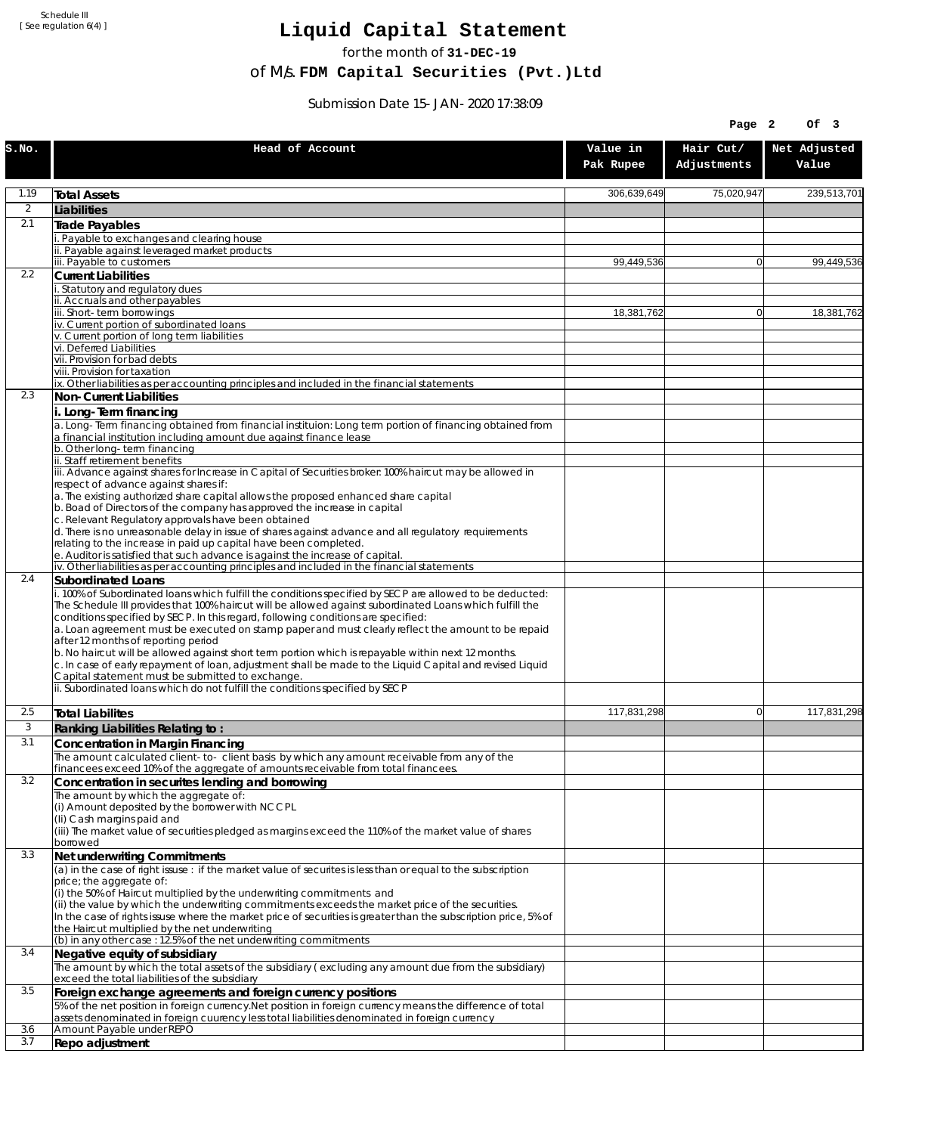Schedule III [ See regulation 6(4) ]

## **Liquid Capital Statement**

for the month of **31-DEC-19**

of M/s. **FDM Capital Securities (Pvt.)Ltd**

Submission Date 15-JAN-2020 17:38:09

|                |                                                                                                                                                                                                                                                                                                                                                                                                                                                                                                                                                                                                                                                                                                                             |                       | Page 2                   | Of 3                  |
|----------------|-----------------------------------------------------------------------------------------------------------------------------------------------------------------------------------------------------------------------------------------------------------------------------------------------------------------------------------------------------------------------------------------------------------------------------------------------------------------------------------------------------------------------------------------------------------------------------------------------------------------------------------------------------------------------------------------------------------------------------|-----------------------|--------------------------|-----------------------|
| S.NO.          | Head of Account                                                                                                                                                                                                                                                                                                                                                                                                                                                                                                                                                                                                                                                                                                             | Value in<br>Pak Rupee | Hair Cut/<br>Adjustments | Net Adjusted<br>Value |
| 1.19           | <b>Total Assets</b>                                                                                                                                                                                                                                                                                                                                                                                                                                                                                                                                                                                                                                                                                                         | 306,639,649           | 75,020,947               | 239,513,701           |
| $\overline{2}$ | Liabilities                                                                                                                                                                                                                                                                                                                                                                                                                                                                                                                                                                                                                                                                                                                 |                       |                          |                       |
| 2.1            | Trade Payables                                                                                                                                                                                                                                                                                                                                                                                                                                                                                                                                                                                                                                                                                                              |                       |                          |                       |
|                | Payable to exchanges and clearing house<br>ii. Payable against leveraged market products                                                                                                                                                                                                                                                                                                                                                                                                                                                                                                                                                                                                                                    |                       |                          |                       |
|                | iii. Payable to customers                                                                                                                                                                                                                                                                                                                                                                                                                                                                                                                                                                                                                                                                                                   | 99,449,536            | $\mathbf{0}$             | 99,449,536            |
| 2.2            | <b>Current Liabilities</b>                                                                                                                                                                                                                                                                                                                                                                                                                                                                                                                                                                                                                                                                                                  |                       |                          |                       |
|                | . Statutory and regulatory dues<br>ii. Accruals and other payables                                                                                                                                                                                                                                                                                                                                                                                                                                                                                                                                                                                                                                                          |                       |                          |                       |
|                | iii. Short-term borrowings                                                                                                                                                                                                                                                                                                                                                                                                                                                                                                                                                                                                                                                                                                  | 18,381,762            | $\mathbf{0}$             | 18,381,762            |
|                | iv. Current portion of subordinated loans                                                                                                                                                                                                                                                                                                                                                                                                                                                                                                                                                                                                                                                                                   |                       |                          |                       |
|                | v. Current portion of long term liabilities<br>vi. Deferred Liabilities                                                                                                                                                                                                                                                                                                                                                                                                                                                                                                                                                                                                                                                     |                       |                          |                       |
|                | vii. Provision for bad debts                                                                                                                                                                                                                                                                                                                                                                                                                                                                                                                                                                                                                                                                                                |                       |                          |                       |
|                | viii. Provision for taxation<br>ix. Other liabilities as per accounting principles and included in the financial statements                                                                                                                                                                                                                                                                                                                                                                                                                                                                                                                                                                                                 |                       |                          |                       |
| 2.3            | Non-Current Liabilities                                                                                                                                                                                                                                                                                                                                                                                                                                                                                                                                                                                                                                                                                                     |                       |                          |                       |
|                | i. Long-Term financing                                                                                                                                                                                                                                                                                                                                                                                                                                                                                                                                                                                                                                                                                                      |                       |                          |                       |
|                | a. Long-Term financing obtained from financial instituion: Long term portion of financing obtained from<br>a financial institution including amount due against finance lease                                                                                                                                                                                                                                                                                                                                                                                                                                                                                                                                               |                       |                          |                       |
|                | b. Other long-term financing                                                                                                                                                                                                                                                                                                                                                                                                                                                                                                                                                                                                                                                                                                |                       |                          |                       |
|                | ii. Staff retirement benefits                                                                                                                                                                                                                                                                                                                                                                                                                                                                                                                                                                                                                                                                                               |                       |                          |                       |
|                | iii. Advance against shares for Increase in Capital of Securities broker: 100% haircut may be allowed in<br>respect of advance against shares if:                                                                                                                                                                                                                                                                                                                                                                                                                                                                                                                                                                           |                       |                          |                       |
|                | a. The existing authorized share capital allows the proposed enhanced share capital                                                                                                                                                                                                                                                                                                                                                                                                                                                                                                                                                                                                                                         |                       |                          |                       |
|                | b. Boad of Directors of the company has approved the increase in capital<br>c. Relevant Regulatory approvals have been obtained                                                                                                                                                                                                                                                                                                                                                                                                                                                                                                                                                                                             |                       |                          |                       |
|                | d. There is no unreasonable delay in issue of shares against advance and all regulatory requirements                                                                                                                                                                                                                                                                                                                                                                                                                                                                                                                                                                                                                        |                       |                          |                       |
|                | relating to the increase in paid up capital have been completed.                                                                                                                                                                                                                                                                                                                                                                                                                                                                                                                                                                                                                                                            |                       |                          |                       |
|                | e. Auditor is satisfied that such advance is against the increase of capital.<br>iv. Other liabilities as per accounting principles and included in the financial statements                                                                                                                                                                                                                                                                                                                                                                                                                                                                                                                                                |                       |                          |                       |
| 2.4            | <b>Subordinated Loans</b>                                                                                                                                                                                                                                                                                                                                                                                                                                                                                                                                                                                                                                                                                                   |                       |                          |                       |
|                | . 100% of Subordinated loans which fulfill the conditions specified by SECP are allowed to be deducted:<br>The Schedule III provides that 100% haircut will be allowed against subordinated Loans which fulfill the<br>conditions specified by SECP. In this regard, following conditions are specified:<br>a. Loan agreement must be executed on stamp paper and must clearly reflect the amount to be repaid<br>after 12 months of reporting period<br>b. No haircut will be allowed against short term portion which is repayable within next 12 months.<br>c. In case of early repayment of loan, adjustment shall be made to the Liquid Capital and revised Liquid<br>Capital statement must be submitted to exchange. |                       |                          |                       |
|                | ii. Subordinated loans which do not fulfill the conditions specified by SECP                                                                                                                                                                                                                                                                                                                                                                                                                                                                                                                                                                                                                                                |                       |                          |                       |
| 2.5            | <b>Total Liabilites</b>                                                                                                                                                                                                                                                                                                                                                                                                                                                                                                                                                                                                                                                                                                     | 117.831.298           | $\mathbf{0}$             | 117.831.298           |
| 3              | Ranking Liabilities Relating to:                                                                                                                                                                                                                                                                                                                                                                                                                                                                                                                                                                                                                                                                                            |                       |                          |                       |
| 3.1            | Concentration in Margin Financing                                                                                                                                                                                                                                                                                                                                                                                                                                                                                                                                                                                                                                                                                           |                       |                          |                       |
|                | The amount calculated client-to- client basis by which any amount receivable from any of the                                                                                                                                                                                                                                                                                                                                                                                                                                                                                                                                                                                                                                |                       |                          |                       |
| 3.2            | financees exceed 10% of the aggregate of amounts receivable from total financees.<br>Concentration in securites lending and borrowing                                                                                                                                                                                                                                                                                                                                                                                                                                                                                                                                                                                       |                       |                          |                       |
|                | The amount by which the aggregate of:                                                                                                                                                                                                                                                                                                                                                                                                                                                                                                                                                                                                                                                                                       |                       |                          |                       |
|                | (i) Amount deposited by the borrower with NCCPL                                                                                                                                                                                                                                                                                                                                                                                                                                                                                                                                                                                                                                                                             |                       |                          |                       |
|                | (Ii) Cash margins paid and<br>(iii) The market value of securities pledged as margins exceed the 110% of the market value of shares                                                                                                                                                                                                                                                                                                                                                                                                                                                                                                                                                                                         |                       |                          |                       |
|                | borrowed                                                                                                                                                                                                                                                                                                                                                                                                                                                                                                                                                                                                                                                                                                                    |                       |                          |                       |
| 3.3            | Net underwriting Commitments                                                                                                                                                                                                                                                                                                                                                                                                                                                                                                                                                                                                                                                                                                |                       |                          |                       |
|                | (a) in the case of right issuse : if the market value of securites is less than or equal to the subscription<br>price; the aggregate of:                                                                                                                                                                                                                                                                                                                                                                                                                                                                                                                                                                                    |                       |                          |                       |
|                | (i) the 50% of Haircut multiplied by the underwriting commitments and<br>(ii) the value by which the underwriting commitments exceeds the market price of the securities.<br>In the case of rights issuse where the market price of securities is greater than the subscription price, 5% of<br>the Haircut multiplied by the net underwriting                                                                                                                                                                                                                                                                                                                                                                              |                       |                          |                       |
|                | (b) in any other case: 12.5% of the net underwriting commitments                                                                                                                                                                                                                                                                                                                                                                                                                                                                                                                                                                                                                                                            |                       |                          |                       |
| 3.4            | Negative equity of subsidiary                                                                                                                                                                                                                                                                                                                                                                                                                                                                                                                                                                                                                                                                                               |                       |                          |                       |
|                | The amount by which the total assets of the subsidiary (excluding any amount due from the subsidiary)<br>exceed the total liabilities of the subsidiary                                                                                                                                                                                                                                                                                                                                                                                                                                                                                                                                                                     |                       |                          |                       |
| 3.5            | Foreign exchange agreements and foreign currency positions                                                                                                                                                                                                                                                                                                                                                                                                                                                                                                                                                                                                                                                                  |                       |                          |                       |
|                | 5% of the net position in foreign currency. Net position in foreign currency means the difference of total<br>assets denominated in foreign cuurency less total liabilities denominated in foreign currency                                                                                                                                                                                                                                                                                                                                                                                                                                                                                                                 |                       |                          |                       |
| 3.6            | Amount Payable under REPO                                                                                                                                                                                                                                                                                                                                                                                                                                                                                                                                                                                                                                                                                                   |                       |                          |                       |
| 3.7            | Repo adjustment                                                                                                                                                                                                                                                                                                                                                                                                                                                                                                                                                                                                                                                                                                             |                       |                          |                       |